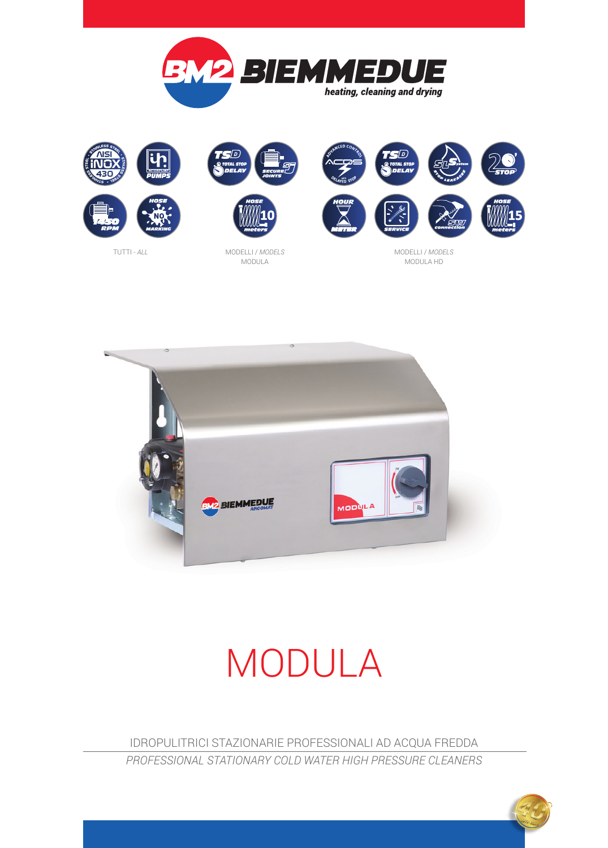



1 о.

MODELLI / *MODELS* MODULA





MODELLI / *MODELS* MODULA HD



# MODULA

IDROPULITRICI STAZIONARIE PROFESSIONALI AD ACQUA FREDDA *PROFESSIONAL STATIONARY COLD WATER HIGH PRESSURE CLEANERS*

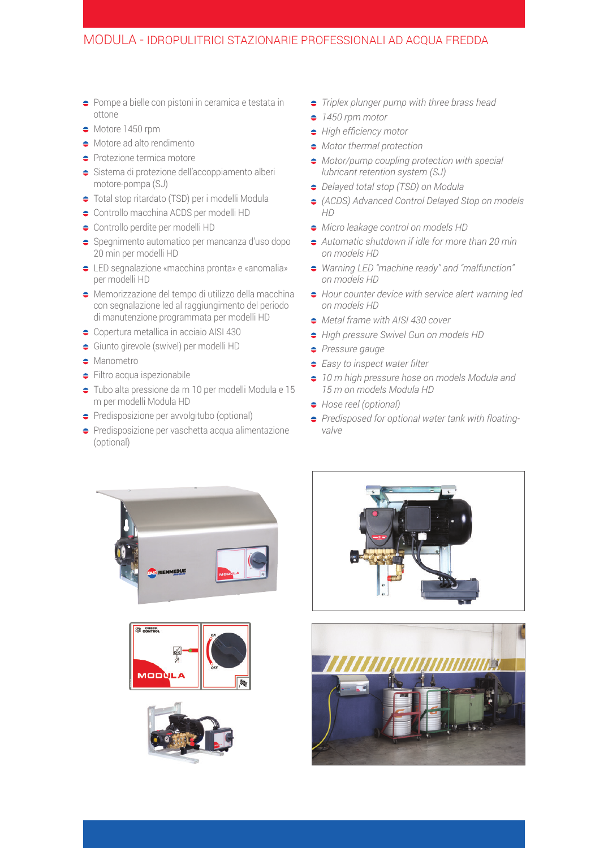#### MODULA - IDROPULITRICI STAZIONARIE PROFESSIONALI AD ACQUA FREDDA

- $\Rightarrow$  Pompe a bielle con pistoni in ceramica e testata in ottone
- $\bullet$  Motore 1450 rpm
- $\bullet$  Motore ad alto rendimento
- **•** Protezione termica motore
- $\bullet$  Sistema di protezione dell'accoppiamento alberi motore-pompa (SJ)
- Total stop ritardato (TSD) per i modelli Modula
- $\bullet$  Controllo macchina ACDS per modelli HD
- Controllo perdite per modelli HD
- $\Rightarrow$  Spegnimento automatico per mancanza d'uso dopo 20 min per modelli HD
- LED segnalazione «macchina pronta» e «anomalia» per modelli HD
- Memorizzazione del tempo di utilizzo della macchina con segnalazione led al raggiungimento del periodo di manutenzione programmata per modelli HD
- Copertura metallica in acciaio AISI 430
- Giunto girevole (swivel) per modelli HD
- **C** Manometro
- **Filtro acqua ispezionabile**
- Tubo alta pressione da m 10 per modelli Modula e 15 m per modelli Modula HD
- **Predisposizione per avvolgitubo (optional)**
- **•** Predisposizione per vaschetta acqua alimentazione (optional)
- *Triplex plunger pump with three brass head*
- *1450 rpm motor*
- *High efficiency motor*
- *Motor thermal protection*
- *Motor/pump coupling protection with special lubricant retention system (SJ)*
- *Delayed total stop (TSD) on Modula*
- *(ACDS) Advanced Control Delayed Stop on models HD*
- *Micro leakage control on models HD*
- *Automatic shutdown if idle for more than 20 min on models HD*
- *Warning LED "machine ready" and "malfunction" on models HD*
- *Hour counter device with service alert warning led on models HD*
- *Metal frame with AISI 430 cover*
- *High pressure Swivel Gun on models HD*
- *Pressure gauge*
- *Easy to inspect water filter*
- *10 m high pressure hose on models Modula and 15 m on models Modula HD*
- *Hose reel (optional)*
- *Predisposed for optional water tank with floatingvalve*









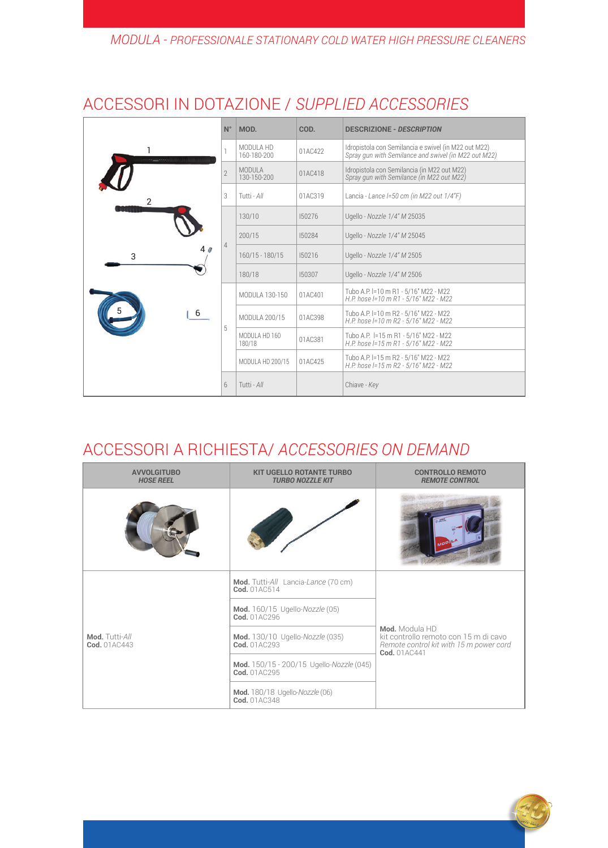### *MODULA - PROFESSIONALE STATIONARY COLD WATER HIGH PRESSURE CLEANERS*

|             | $N^{\circ}$    | MOD.                         | COD.                                      | <b>DESCRIZIONE - DESCRIPTION</b>                                                                             |
|-------------|----------------|------------------------------|-------------------------------------------|--------------------------------------------------------------------------------------------------------------|
|             |                | MODULA HD<br>160-180-200     | 01AC422                                   | Idropistola con Semilancia e swivel (in M22 out M22)<br>Spray gun with Semilance and swivel (in M22 out M22) |
| 2<br>3<br>6 | $\overline{2}$ | <b>MODULA</b><br>130-150-200 | 01AC418                                   | Idropistola con Semilancia (in M22 out M22)<br>Spray gun with Semilance (in M22 out M22)                     |
|             | 3              | Tutti - All                  | Lancia - Lance I=50 cm (in M22 out 1/4"F) |                                                                                                              |
|             | 4              | 130/10                       | 150276                                    | Ugello - Nozzle 1/4" M 25035                                                                                 |
|             |                | 200/15                       | 150284                                    | Ugello - Nozzle 1/4" M 25045                                                                                 |
|             |                | $160/15 - 180/15$            | 150216                                    | Ugello - Nozzle 1/4" M 2505                                                                                  |
|             |                | 180/18                       | 150307                                    | Ugello - Nozzle 1/4" M 2506                                                                                  |
|             | 5              | MODULA 130-150               | 01AC401                                   | Tubo A.P. I=10 m R1 - 5/16" M22 - M22<br>H.P. hose I=10 m R1 - 5/16" M22 - M22                               |
|             |                | MODULA 200/15                | 01AC398                                   | Tubo A.P. I=10 m R2 - 5/16" M22 - M22<br>H.P. hose I=10 m R2 - 5/16" M22 - M22                               |
|             |                | MODULA HD 160<br>180/18      | 01AC381                                   | Tubo A.P. I=15 m R1 - 5/16" M22 - M22<br>H.P. hose I=15 m R1 - 5/16" M22 - M22                               |
|             |                | MODULA HD 200/15             | 01AC425                                   | Tubo A.P. I=15 m R2 - 5/16" M22 - M22<br>H.P. hose I=15 m R2 - 5/16" M22 - M22                               |
|             | 6              | Tutti - All                  |                                           | Chiave - Key                                                                                                 |

## ACCESSORI IN DOTAZIONE / *SUPPLIED ACCESSORIES*

## ACCESSORI A RICHIESTA/ *ACCESSORIES ON DEMAND*

| <b>AVVOLGITUBO</b><br><b>HOSE REEL</b> | <b>KIT UGELLO ROTANTE TURBO</b><br><b>TURBO NOZZLE KIT</b> | <b>CONTROLLO REMOTO</b><br><b>REMOTE CONTROL</b>                                                                   |  |  |  |  |
|----------------------------------------|------------------------------------------------------------|--------------------------------------------------------------------------------------------------------------------|--|--|--|--|
|                                        |                                                            |                                                                                                                    |  |  |  |  |
| Mod. Tutti-All<br>Cod. 01AC443         | Mod. Tutti-All Lancia-Lance (70 cm)<br>Cod. 01AC514        | Mod. Modula HD<br>kit controllo remoto con 15 m di cavo<br>Remote control kit with 15 m power cord<br>Cod. 01AC441 |  |  |  |  |
|                                        | Mod. 160/15 Ugello-Nozzle (05)<br>Cod. 01AC296             |                                                                                                                    |  |  |  |  |
|                                        | Mod. 130/10 Ugello-Nozzle (035)<br>Cod. 01AC293            |                                                                                                                    |  |  |  |  |
|                                        | Mod. 150/15 - 200/15 Ugello-Nozzle (045)<br>Cod. 01AC295   |                                                                                                                    |  |  |  |  |
|                                        | <b>Mod.</b> 180/18 Ugello-Nozzle (06)<br>Cod. 01AC348      |                                                                                                                    |  |  |  |  |